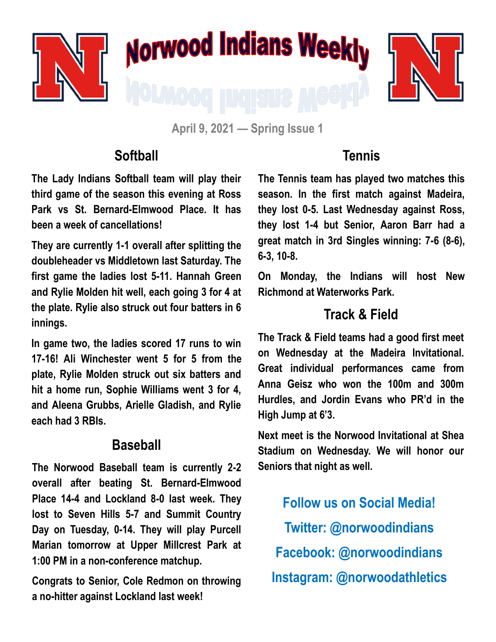

**April 9, 2021 — Spring Issue 1**

### **Softball**

**The Lady Indians Softball team will play their third game of the season this evening at Ross Park vs St. Bernard-Elmwood Place. It has been a week of cancellations!**

**They are currently 1-1 overall after splitting the doubleheader vs Middletown last Saturday. The first game the ladies lost 5-11. Hannah Green and Rylie Molden hit well, each going 3 for 4 at the plate. Rylie also struck out four batters in 6 innings.** 

**In game two, the ladies scored 17 runs to win 17-16! Ali Winchester went 5 for 5 from the plate, Rylie Molden struck out six batters and hit a home run, Sophie Williams went 3 for 4, and Aleena Grubbs, Arielle Gladish, and Rylie each had 3 RBIs.**

### **Baseball**

**The Norwood Baseball team is currently 2-2 overall after beating St. Bernard-Elmwood Place 14-4 and Lockland 8-0 last week. They lost to Seven Hills 5-7 and Summit Country Day on Tuesday, 0-14. They will play Purcell Marian tomorrow at Upper Millcrest Park at 1:00 PM in a non-conference matchup.** 

**Congrats to Senior, Cole Redmon on throwing a no-hitter against Lockland last week!**

## **Tennis**

**The Tennis team has played two matches this season. In the first match against Madeira, they lost 0-5. Last Wednesday against Ross, they lost 1-4 but Senior, Aaron Barr had a great match in 3rd Singles winning: 7-6 (8-6), 6-3, 10-8.** 

**On Monday, the Indians will host New Richmond at Waterworks Park.** 

## **Track & Field**

**The Track & Field teams had a good first meet on Wednesday at the Madeira Invitational. Great individual performances came from Anna Geisz who won the 100m and 300m Hurdles, and Jordin Evans who PR'd in the High Jump at 6'3.** 

**Next meet is the Norwood Invitational at Shea Stadium on Wednesday. We will honor our Seniors that night as well.**

**Follow us on Social Media! Twitter: @norwoodindians Facebook: @norwoodindians Instagram: @norwoodathletics**